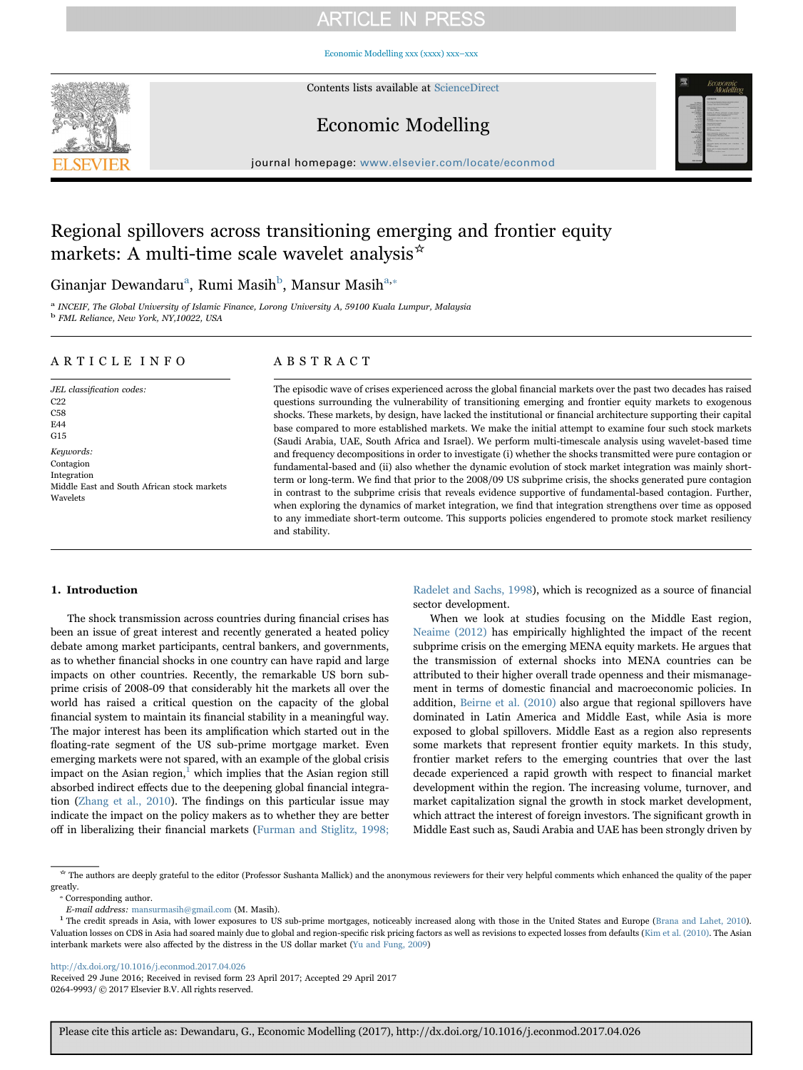## **ARTICLE IN PRESS**

[Economic Modelling xxx \(xxxx\) xxx–xxx](http://dx.doi.org/10.1016/j.econmod.2017.04.026)



Contents lists available at [ScienceDirect](http://www.sciencedirect.com/science/journal/02649993)

## Economic Modelling



journal homepage: [www.elsevier.com/locate/econmod](http://www.elsevier.com/locate/econmod)

# Regional spillovers across transitioning emerging and frontier equity markets: A multi-time scale wavelet analysis☆

## Ginanjar Dewandaru<sup>a</sup>, Rumi Masih<sup>b</sup>, Mansur Masih<sup>a,</sup>\*

INCEIF, The Global University of Islamic Finance, Lorong University A, 59100 Kuala Lumpur, Malaysia b FML Reliance, New York, NY,10022, USA

#### ARTICLE INFO

JEL classification codes: C<sub>22</sub> C58 E44 G15 Keywords: Contagion Integration Middle East and South African stock markets Wavelets

### ABSTRACT

The episodic wave of crises experienced across the global financial markets over the past two decades has raised questions surrounding the vulnerability of transitioning emerging and frontier equity markets to exogenous shocks. These markets, by design, have lacked the institutional or financial architecture supporting their capital base compared to more established markets. We make the initial attempt to examine four such stock markets (Saudi Arabia, UAE, South Africa and Israel). We perform multi-timescale analysis using wavelet-based time and frequency decompositions in order to investigate (i) whether the shocks transmitted were pure contagion or fundamental-based and (ii) also whether the dynamic evolution of stock market integration was mainly shortterm or long-term. We find that prior to the 2008/09 US subprime crisis, the shocks generated pure contagion in contrast to the subprime crisis that reveals evidence supportive of fundamental-based contagion. Further, when exploring the dynamics of market integration, we find that integration strengthens over time as opposed to any immediate short-term outcome. This supports policies engendered to promote stock market resiliency and stability.

#### 1. Introduction

The shock transmission across countries during financial crises has been an issue of great interest and recently generated a heated policy debate among market participants, central bankers, and governments, as to whether financial shocks in one country can have rapid and large impacts on other countries. Recently, the remarkable US born subprime crisis of 2008-09 that considerably hit the markets all over the world has raised a critical question on the capacity of the global financial system to maintain its financial stability in a meaningful way. The major interest has been its amplification which started out in the floating-rate segment of the US sub-prime mortgage market. Even emerging markets were not spared, with an example of the global crisis impact on the Asian region, $\frac{1}{1}$  which implies that the Asian region still absorbed indirect effects due to the deepening global financial integration (Zhang et al., 2010). The findings on this particular issue may indicate the impact on the policy makers as to whether they are better off in liberalizing their financial markets (Furman and Stiglitz, 1998;

Radelet and Sachs, 1998), which is recognized as a source of financial sector development.

When we look at studies focusing on the Middle East region, Neaime (2012) has empirically highlighted the impact of the recent subprime crisis on the emerging MENA equity markets. He argues that the transmission of external shocks into MENA countries can be attributed to their higher overall trade openness and their mismanagement in terms of domestic financial and macroeconomic policies. In addition, Beirne et al. (2010) also argue that regional spillovers have dominated in Latin America and Middle East, while Asia is more exposed to global spillovers. Middle East as a region also represents some markets that represent frontier equity markets. In this study, frontier market refers to the emerging countries that over the last decade experienced a rapid growth with respect to financial market development within the region. The increasing volume, turnover, and market capitalization signal the growth in stock market development, which attract the interest of foreign investors. The significant growth in Middle East such as, Saudi Arabia and UAE has been strongly driven by

<http://dx.doi.org/10.1016/j.econmod.2017.04.026>

<sup>☆</sup> The authors are deeply grateful to the editor (Professor Sushanta Mallick) and the anonymous reviewers for their very helpful comments which enhanced the quality of the paper greatly.<br>
\* Corresponding author.

E-mail address: mansurmasih@gmail.com (M. Masih). 1 The creation spreads in Asia, with those in the United States and Europe (Brana and Lahet, 2010). 1 The credit spreads in Asia, with lower exposures to US sub-prime mortg Valuation losses on CDS in Asia had soared mainly due to global and region-specific risk pricing factors as well as revisions to expected losses from defaults (Kim et al. (2010). The Asian interbank markets were also affected by the distress in the US dollar market (Yu and Fung, 2009)

Received 29 June 2016; Received in revised form 23 April 2017; Accepted 29 April 2017 0264-9993/ © 2017 Elsevier B.V. All rights reserved.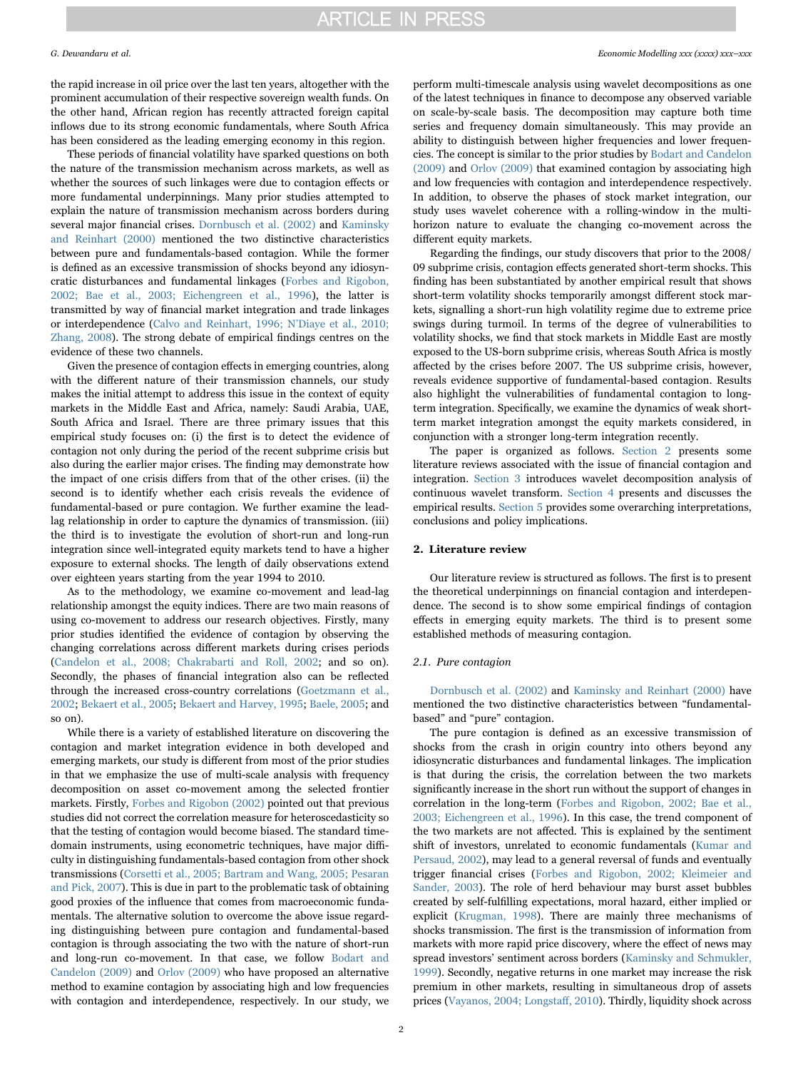the rapid increase in oil price over the last ten years, altogether with the prominent accumulation of their respective sovereign wealth funds. On the other hand, African region has recently attracted foreign capital inflows due to its strong economic fundamentals, where South Africa has been considered as the leading emerging economy in this region.

These periods of financial volatility have sparked questions on both the nature of the transmission mechanism across markets, as well as whether the sources of such linkages were due to contagion effects or more fundamental underpinnings. Many prior studies attempted to explain the nature of transmission mechanism across borders during several major financial crises. Dornbusch et al. (2002) and Kaminsky and Reinhart (2000) mentioned the two distinctive characteristics between pure and fundamentals-based contagion. While the former is defined as an excessive transmission of shocks beyond any idiosyncratic disturbances and fundamental linkages (Forbes and Rigobon, 2002; Bae et al., 2003; Eichengreen et al., 1996), the latter is transmitted by way of financial market integration and trade linkages or interdependence (Calvo and Reinhart, 1996; N'Diaye et al., 2010; Zhang, 2008). The strong debate of empirical findings centres on the evidence of these two channels.

Given the presence of contagion effects in emerging countries, along with the different nature of their transmission channels, our study makes the initial attempt to address this issue in the context of equity markets in the Middle East and Africa, namely: Saudi Arabia, UAE, South Africa and Israel. There are three primary issues that this empirical study focuses on: (i) the first is to detect the evidence of contagion not only during the period of the recent subprime crisis but also during the earlier major crises. The finding may demonstrate how the impact of one crisis differs from that of the other crises. (ii) the second is to identify whether each crisis reveals the evidence of fundamental-based or pure contagion. We further examine the leadlag relationship in order to capture the dynamics of transmission. (iii) the third is to investigate the evolution of short-run and long-run integration since well-integrated equity markets tend to have a higher exposure to external shocks. The length of daily observations extend over eighteen years starting from the year 1994 to 2010.

As to the methodology, we examine co-movement and lead-lag relationship amongst the equity indices. There are two main reasons of using co-movement to address our research objectives. Firstly, many prior studies identified the evidence of contagion by observing the changing correlations across different markets during crises periods (Candelon et al., 2008; Chakrabarti and Roll, 2002; and so on). Secondly, the phases of financial integration also can be reflected through the increased cross-country correlations (Goetzmann et al., 2002; Bekaert et al., 2005; Bekaert and Harvey, 1995; Baele, 2005; and so on).

While there is a variety of established literature on discovering the contagion and market integration evidence in both developed and emerging markets, our study is different from most of the prior studies in that we emphasize the use of multi-scale analysis with frequency decomposition on asset co-movement among the selected frontier markets. Firstly, Forbes and Rigobon (2002) pointed out that previous studies did not correct the correlation measure for heteroscedasticity so that the testing of contagion would become biased. The standard timedomain instruments, using econometric techniques, have major difficulty in distinguishing fundamentals-based contagion from other shock transmissions (Corsetti et al., 2005; Bartram and Wang, 2005; Pesaran and Pick, 2007). This is due in part to the problematic task of obtaining good proxies of the influence that comes from macroeconomic fundamentals. The alternative solution to overcome the above issue regarding distinguishing between pure contagion and fundamental-based contagion is through associating the two with the nature of short-run and long-run co-movement. In that case, we follow Bodart and Candelon (2009) and Orlov (2009) who have proposed an alternative method to examine contagion by associating high and low frequencies with contagion and interdependence, respectively. In our study, we

perform multi-timescale analysis using wavelet decompositions as one of the latest techniques in finance to decompose any observed variable on scale-by-scale basis. The decomposition may capture both time series and frequency domain simultaneously. This may provide an ability to distinguish between higher frequencies and lower frequencies. The concept is similar to the prior studies by Bodart and Candelon (2009) and Orlov (2009) that examined contagion by associating high and low frequencies with contagion and interdependence respectively. In addition, to observe the phases of stock market integration, our study uses wavelet coherence with a rolling-window in the multihorizon nature to evaluate the changing co-movement across the different equity markets.

Regarding the findings, our study discovers that prior to the 2008/ 09 subprime crisis, contagion effects generated short-term shocks. This finding has been substantiated by another empirical result that shows short-term volatility shocks temporarily amongst different stock markets, signalling a short-run high volatility regime due to extreme price swings during turmoil. In terms of the degree of vulnerabilities to volatility shocks, we find that stock markets in Middle East are mostly exposed to the US-born subprime crisis, whereas South Africa is mostly affected by the crises before 2007. The US subprime crisis, however, reveals evidence supportive of fundamental-based contagion. Results also highlight the vulnerabilities of fundamental contagion to longterm integration. Specifically, we examine the dynamics of weak shortterm market integration amongst the equity markets considered, in conjunction with a stronger long-term integration recently.

The paper is organized as follows. Section 2 presents some literature reviews associated with the issue of financial contagion and integration. Section 3 introduces wavelet decomposition analysis of continuous wavelet transform. Section 4 presents and discusses the empirical results. Section 5 provides some overarching interpretations, conclusions and policy implications.

#### 2. Literature review

Our literature review is structured as follows. The first is to present the theoretical underpinnings on financial contagion and interdependence. The second is to show some empirical findings of contagion effects in emerging equity markets. The third is to present some established methods of measuring contagion.

#### 2.1. Pure contagion

Dornbusch et al. (2002) and Kaminsky and Reinhart (2000) have mentioned the two distinctive characteristics between "fundamentalbased" and "pure" contagion.

The pure contagion is defined as an excessive transmission of shocks from the crash in origin country into others beyond any idiosyncratic disturbances and fundamental linkages. The implication is that during the crisis, the correlation between the two markets significantly increase in the short run without the support of changes in correlation in the long-term (Forbes and Rigobon, 2002; Bae et al., 2003; Eichengreen et al., 1996). In this case, the trend component of the two markets are not affected. This is explained by the sentiment shift of investors, unrelated to economic fundamentals (Kumar and Persaud, 2002), may lead to a general reversal of funds and eventually trigger financial crises (Forbes and Rigobon, 2002; Kleimeier and Sander, 2003). The role of herd behaviour may burst asset bubbles created by self-fulfilling expectations, moral hazard, either implied or explicit (Krugman, 1998). There are mainly three mechanisms of shocks transmission. The first is the transmission of information from markets with more rapid price discovery, where the effect of news may spread investors' sentiment across borders (Kaminsky and Schmukler, 1999). Secondly, negative returns in one market may increase the risk premium in other markets, resulting in simultaneous drop of assets prices (Vayanos, 2004; Longstaff, 2010). Thirdly, liquidity shock across